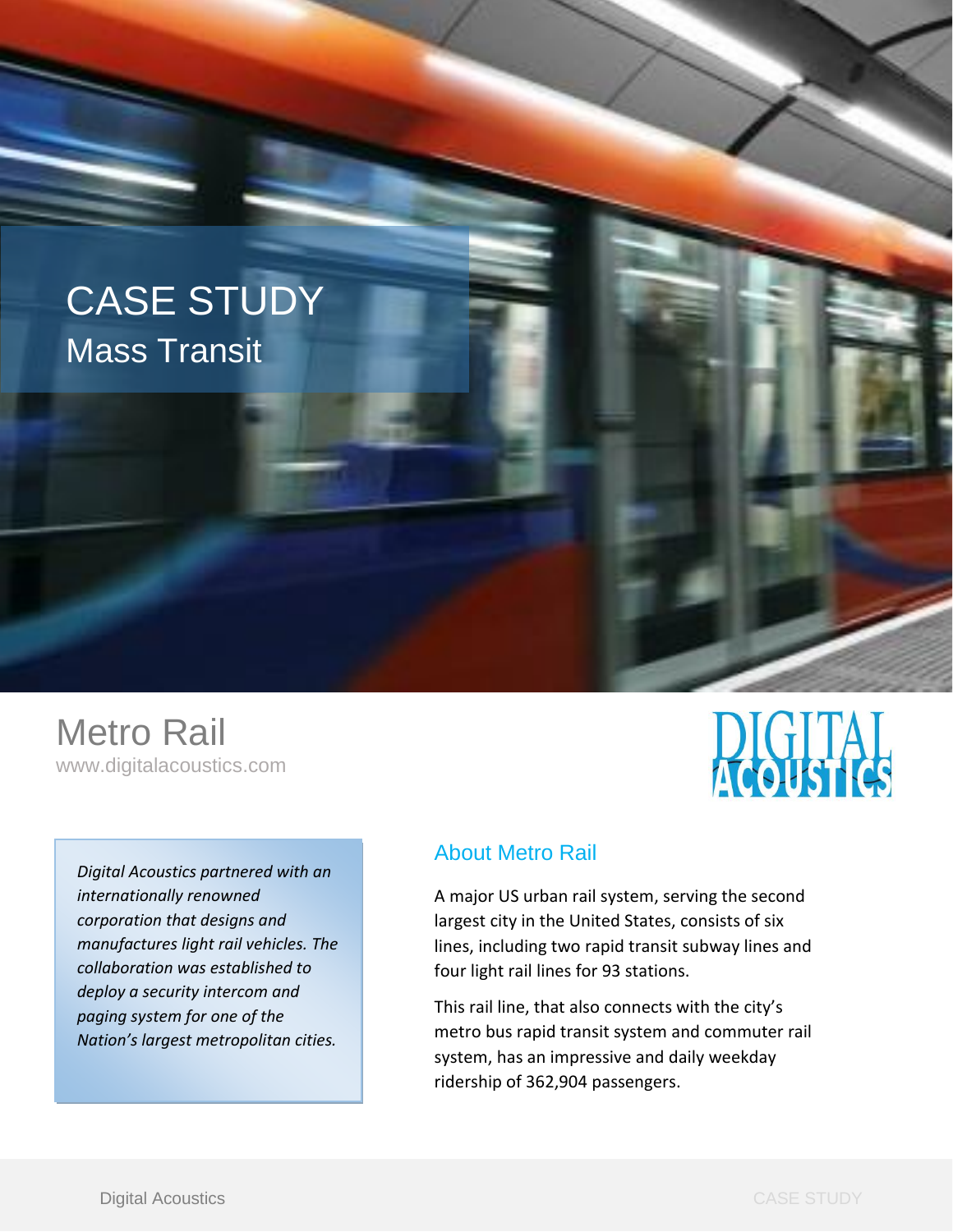# CASE STUDY Mass Transit



*Digital Acoustics partnered with an internationally renowned corporation that designs and manufactures light rail vehicles. The collaboration was established to deploy a security intercom and paging system for one of the Nation's largest metropolitan cities.*



### About Metro Rail

A major US urban rail system, servin[g the](https://en.wikipedia.org/wiki/Los_Angeles_County,_California) second largest city in the United States, consists of six lines, including tw[o rapid transit](https://en.wikipedia.org/wiki/Rapid_transit) subway lines and four [light rail](https://en.wikipedia.org/wiki/Light_rail) lines for [93 stations.](https://en.wikipedia.org/wiki/List_of_Los_Angeles_County_Metro_Rail_stations)

This rail line, that also connects with the city's [metro b](https://en.wikipedia.org/wiki/Metro_Liner_(Los_Angeles_County))us rapid transit system and commuter rail system, has an impressive and daily weekday ridership of 362,904 passengers.